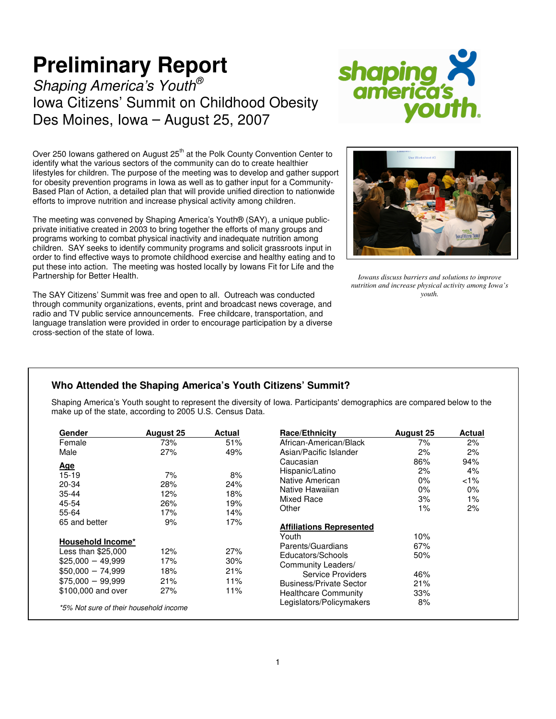# **Preliminary Report**

Shaping America's Youth® Iowa Citizens' Summit on Childhood Obesity Des Moines, Iowa – August 25, 2007

Over 250 Iowans gathered on August 25<sup>th</sup> at the Polk County Convention Center to identify what the various sectors of the community can do to create healthier lifestyles for children. The purpose of the meeting was to develop and gather support for obesity prevention programs in Iowa as well as to gather input for a Community-Based Plan of Action, a detailed plan that will provide unified direction to nationwide efforts to improve nutrition and increase physical activity among children.

The meeting was convened by Shaping America's Youth® (SAY), a unique publicprivate initiative created in 2003 to bring together the efforts of many groups and programs working to combat physical inactivity and inadequate nutrition among children. SAY seeks to identify community programs and solicit grassroots input in order to find effective ways to promote childhood exercise and healthy eating and to put these into action. The meeting was hosted locally by Iowans Fit for Life and the Partnership for Better Health.

The SAY Citizens' Summit was free and open to all. Outreach was conducted through community organizations, events, print and broadcast news coverage, and radio and TV public service announcements. Free childcare, transportation, and language translation were provided in order to encourage participation by a diverse cross-section of the state of Iowa.

# shaping americ



*Iowans discuss barriers and solutions to improve nutrition and increase physical activity among Iowa's youth.* 

# **Who Attended the Shaping America's Youth Citizens' Summit?**

Shaping America's Youth sought to represent the diversity of Iowa. Participants' demographics are compared below to the make up of the state, according to 2005 U.S. Census Data.

| Gender                                                                                                                                                                    | <b>August 25</b>                     | Actual                                | <b>Race/Ethnicity</b>                                                                                                                                                                   | <b>August 25</b>                             | <b>Actual</b>                           |
|---------------------------------------------------------------------------------------------------------------------------------------------------------------------------|--------------------------------------|---------------------------------------|-----------------------------------------------------------------------------------------------------------------------------------------------------------------------------------------|----------------------------------------------|-----------------------------------------|
| Female                                                                                                                                                                    | 73%                                  | 51%                                   | African-American/Black                                                                                                                                                                  | 7%                                           | 2%                                      |
| Male                                                                                                                                                                      | 27%                                  | 49%                                   | Asian/Pacific Islander                                                                                                                                                                  | 2%                                           | 2%                                      |
| <u>Age</u><br>$15 - 19$<br>20-34<br>$35 - 44$<br>45-54<br>55-64<br>65 and better                                                                                          | 7%<br>28%<br>12%<br>26%<br>17%<br>9% | 8%<br>24%<br>18%<br>19%<br>14%<br>17% | Caucasian<br>Hispanic/Latino<br>Native American<br>Native Hawaiian<br>Mixed Race<br>Other<br><b>Affiliations Represented</b>                                                            | 86%<br>2%<br>$0\%$<br>$0\%$<br>3%<br>$1\%$   | 94%<br>4%<br>$1\%$<br>0%<br>$1\%$<br>2% |
| Household Income*<br>Less than \$25,000<br>$$25,000 - 49,999$<br>$$50,000 - 74,999$<br>$$75.000 - 99.999$<br>\$100,000 and over<br>*5% Not sure of their household income | 12%<br>17%<br>18%<br>21%<br>27%      | 27%<br>30%<br>21%<br>11%<br>11%       | Youth<br>Parents/Guardians<br>Educators/Schools<br>Community Leaders/<br>Service Providers<br><b>Business/Private Sector</b><br><b>Healthcare Community</b><br>Legislators/Policymakers | 10%<br>67%<br>50%<br>46%<br>21%<br>33%<br>8% |                                         |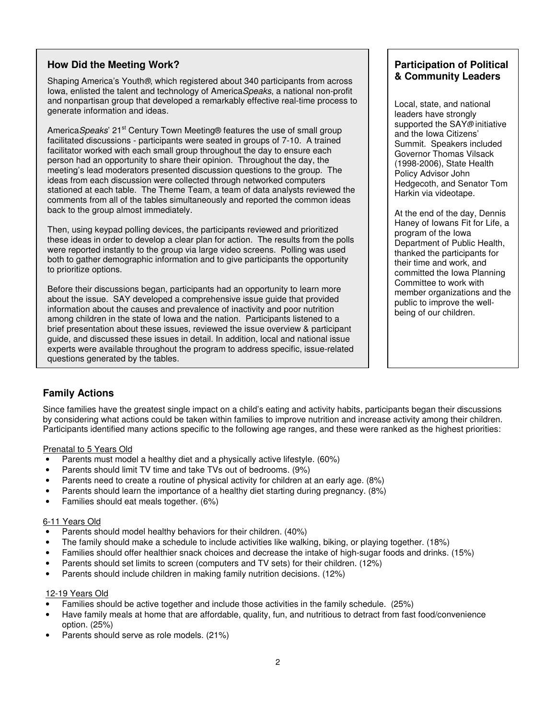## **How Did the Meeting Work?**

Shaping America's Youth®, which registered about 340 participants from across Iowa, enlisted the talent and technology of AmericaSpeaks, a national non-profit and nonpartisan group that developed a remarkably effective real-time process to generate information and ideas.

America Speaks' 21<sup>st</sup> Century Town Meeting® features the use of small group facilitated discussions - participants were seated in groups of 7-10. A trained facilitator worked with each small group throughout the day to ensure each person had an opportunity to share their opinion. Throughout the day, the meeting's lead moderators presented discussion questions to the group. The ideas from each discussion were collected through networked computers stationed at each table. The Theme Team, a team of data analysts reviewed the comments from all of the tables simultaneously and reported the common ideas back to the group almost immediately.

Then, using keypad polling devices, the participants reviewed and prioritized these ideas in order to develop a clear plan for action. The results from the polls were reported instantly to the group via large video screens. Polling was used both to gather demographic information and to give participants the opportunity to prioritize options.

Before their discussions began, participants had an opportunity to learn more about the issue. SAY developed a comprehensive issue guide that provided information about the causes and prevalence of inactivity and poor nutrition among children in the state of Iowa and the nation. Participants listened to a brief presentation about these issues, reviewed the issue overview & participant guide, and discussed these issues in detail. In addition, local and national issue experts were available throughout the program to address specific, issue-related questions generated by the tables.

# **Participation of Political & Community Leaders**

Local, state, and national leaders have strongly supported the SAY<sup>®</sup> initiative and the Iowa Citizens' Summit. Speakers included Governor Thomas Vilsack (1998-2006), State Health Policy Advisor John Hedgecoth, and Senator Tom Harkin via videotape.

At the end of the day, Dennis Haney of Iowans Fit for Life, a program of the Iowa Department of Public Health, thanked the participants for their time and work, and committed the Iowa Planning Committee to work with member organizations and the public to improve the wellbeing of our children.

# **Family Actions**

Since families have the greatest single impact on a child's eating and activity habits, participants began their discussions by considering what actions could be taken within families to improve nutrition and increase activity among their children. Participants identified many actions specific to the following age ranges, and these were ranked as the highest priorities:

#### Prenatal to 5 Years Old

- Parents must model a healthy diet and a physically active lifestyle. (60%)
- Parents should limit TV time and take TVs out of bedrooms. (9%)
- Parents need to create a routine of physical activity for children at an early age. (8%)
- Parents should learn the importance of a healthy diet starting during pregnancy. (8%)
- Families should eat meals together. (6%)

#### 6-11 Years Old

- Parents should model healthy behaviors for their children. (40%)
- The family should make a schedule to include activities like walking, biking, or playing together. (18%)
- Families should offer healthier snack choices and decrease the intake of high-sugar foods and drinks. (15%)
- Parents should set limits to screen (computers and TV sets) for their children. (12%)
- Parents should include children in making family nutrition decisions. (12%)

#### 12-19 Years Old

- Families should be active together and include those activities in the family schedule. (25%)
- Have family meals at home that are affordable, quality, fun, and nutritious to detract from fast food/convenience option. (25%)
- Parents should serve as role models. (21%)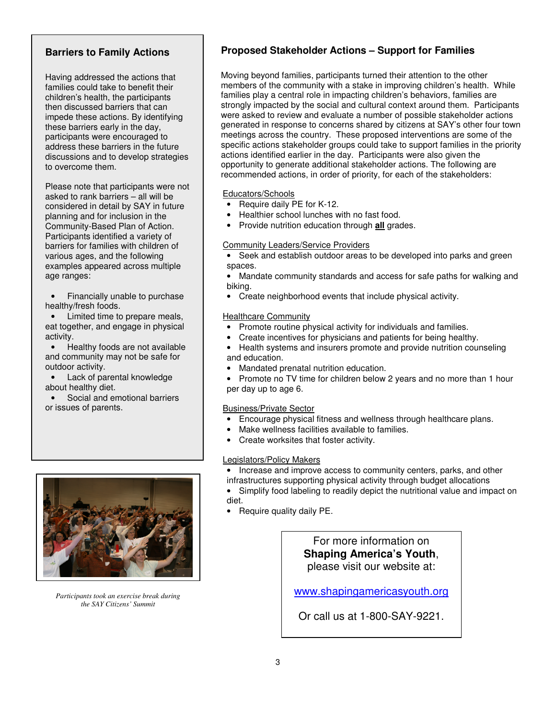# **Barriers to Family Actions**

Having addressed the actions that families could take to benefit their children's health, the participants then discussed barriers that can impede these actions. By identifying these barriers early in the day, participants were encouraged to address these barriers in the future discussions and to develop strategies to overcome them.

Please note that participants were not asked to rank barriers – all will be considered in detail by SAY in future planning and for inclusion in the Community-Based Plan of Action. Participants identified a variety of barriers for families with children of various ages, and the following examples appeared across multiple age ranges:

• Financially unable to purchase healthy/fresh foods.

- Limited time to prepare meals, eat together, and engage in physical activity.
- Healthy foods are not available and community may not be safe for outdoor activity.
- Lack of parental knowledge about healthy diet.

Social and emotional barriers or issues of parents.



*Participants took an exercise break during the SAY Citizens' Summit* 

# **Proposed Stakeholder Actions – Support for Families**

Moving beyond families, participants turned their attention to the other members of the community with a stake in improving children's health. While families play a central role in impacting children's behaviors, families are strongly impacted by the social and cultural context around them. Participants were asked to review and evaluate a number of possible stakeholder actions generated in response to concerns shared by citizens at SAY's other four town meetings across the country. These proposed interventions are some of the specific actions stakeholder groups could take to support families in the priority actions identified earlier in the day. Participants were also given the opportunity to generate additional stakeholder actions. The following are recommended actions, in order of priority, for each of the stakeholders:

#### Educators/Schools

- Require daily PE for K-12.
- Healthier school lunches with no fast food.
- Provide nutrition education through **all** grades.

#### Community Leaders/Service Providers

- Seek and establish outdoor areas to be developed into parks and green spaces.
- Mandate community standards and access for safe paths for walking and biking.
- Create neighborhood events that include physical activity.

#### Healthcare Community

- Promote routine physical activity for individuals and families.
- Create incentives for physicians and patients for being healthy.
- Health systems and insurers promote and provide nutrition counseling and education.
- Mandated prenatal nutrition education.
- Promote no TV time for children below 2 years and no more than 1 hour per day up to age 6.

#### Business/Private Sector

- Encourage physical fitness and wellness through healthcare plans.
- Make wellness facilities available to families.
- Create worksites that foster activity.

#### Legislators/Policy Makers

- Increase and improve access to community centers, parks, and other infrastructures supporting physical activity through budget allocations
- Simplify food labeling to readily depict the nutritional value and impact on diet.
- Require quality daily PE.

## For more information on **Shaping America's Youth**, please visit our website at:

www.shapingamericasyouth.org

Or call us at 1-800-SAY-9221.